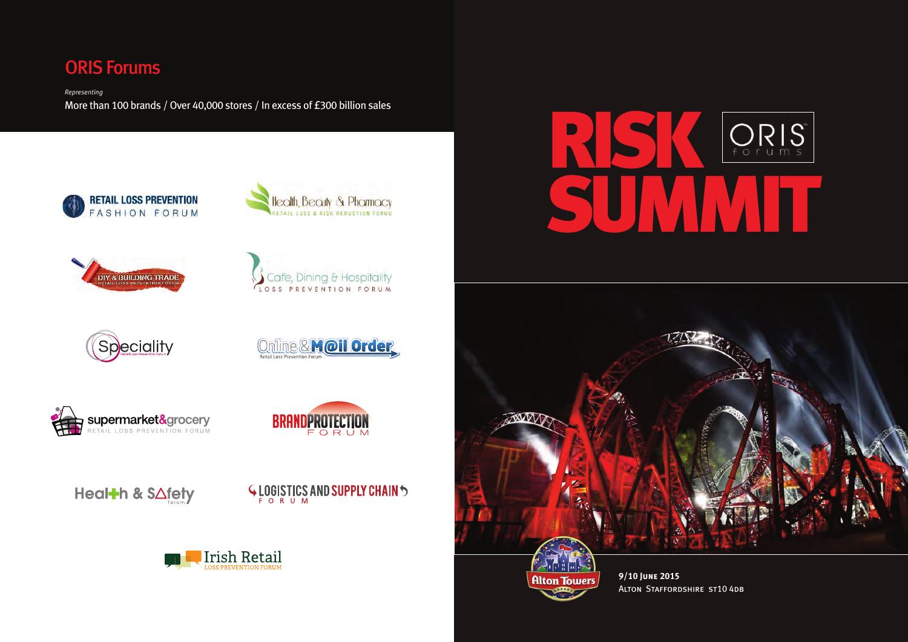# **RISK SUMMIT**





**9/10 June 2015** Alton Staffordshire st10 4db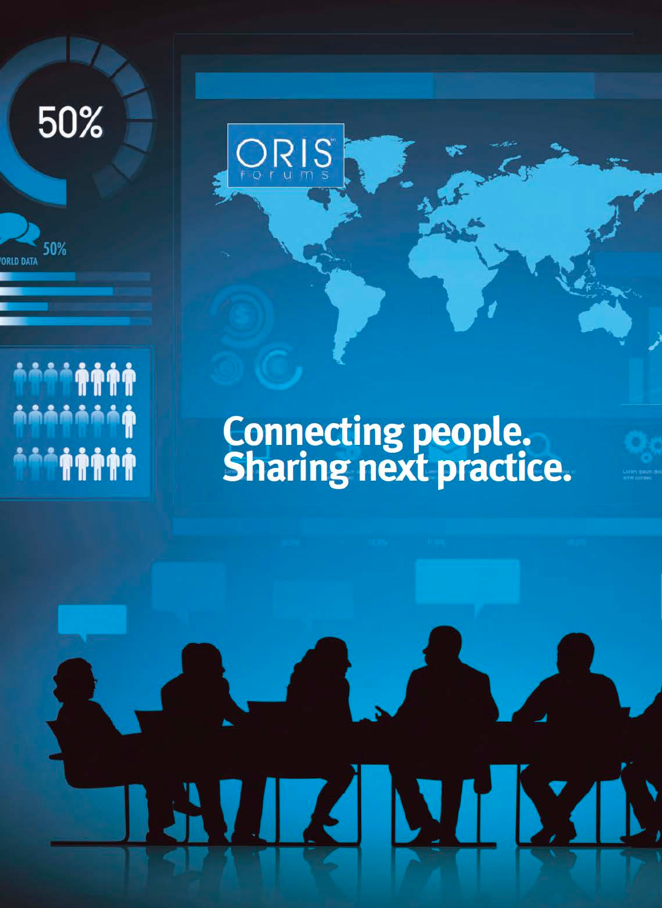50%

50%

**AAAAAA** 

**TATA** 

**AAAAAAA** 

ΦŴ

**ORLD DATA** 

## Connecting people.<br>Sharing next practice.

 $\blacksquare$ 

 $\blacksquare$ 

NH NH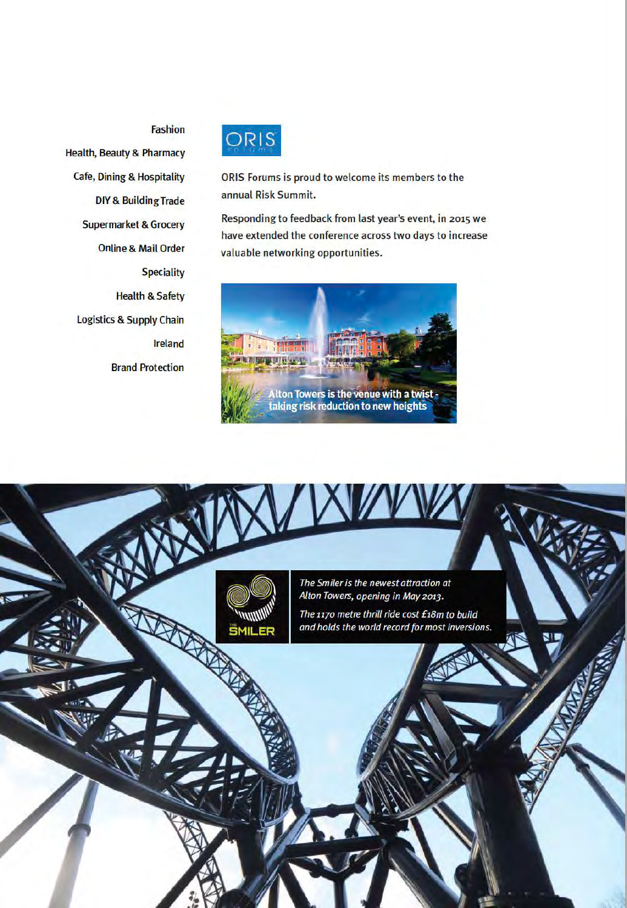#### **Fashion**

**Health, Beauty & Pharmacy Cafe, Dining & Hospitality DIY & Building Trade Supermarket & Grocery Online & Mail Order Speciality Health & Safety Logistics & Supply Chain Ireland Brand Protection** 



ORIS Forums is proud to welcome its members to the annual Risk Summit.

Responding to feedback from last year's event, in 2015 we have extended the conference across two days to increase valuable networking opportunities.



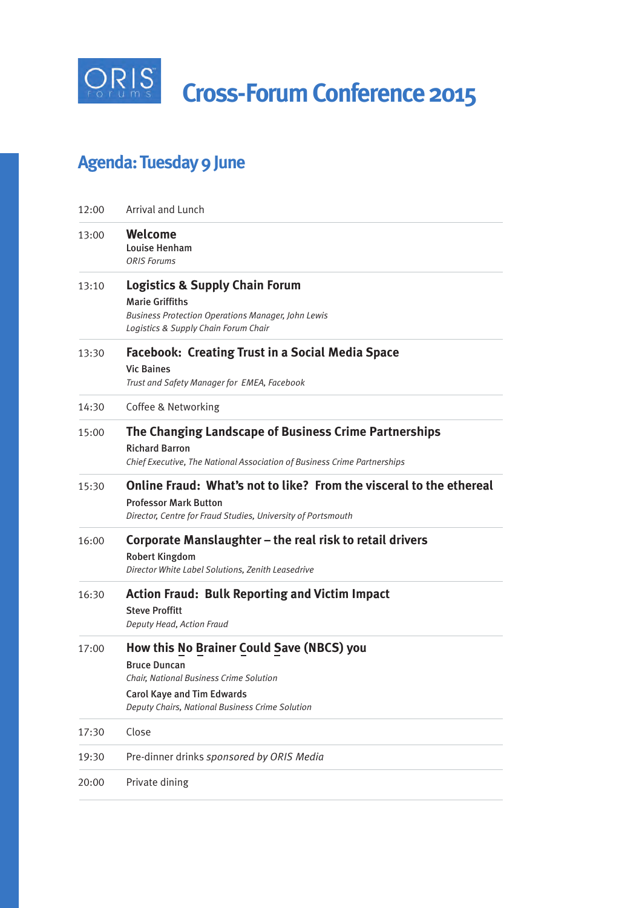

## **Agenda: Tuesday 9 June**

| 12:00 | <b>Arrival and Lunch</b>                                                                                                                                                                            |
|-------|-----------------------------------------------------------------------------------------------------------------------------------------------------------------------------------------------------|
| 13:00 | Welcome<br><b>Louise Henham</b><br><b>ORIS Forums</b>                                                                                                                                               |
| 13:10 | <b>Logistics &amp; Supply Chain Forum</b><br><b>Marie Griffiths</b><br><b>Business Protection Operations Manager, John Lewis</b><br>Logistics & Supply Chain Forum Chair                            |
| 13:30 | <b>Facebook: Creating Trust in a Social Media Space</b><br><b>Vic Baines</b><br>Trust and Safety Manager for EMEA, Facebook                                                                         |
| 14:30 | Coffee & Networking                                                                                                                                                                                 |
| 15:00 | The Changing Landscape of Business Crime Partnerships<br><b>Richard Barron</b><br>Chief Executive, The National Association of Business Crime Partnerships                                          |
| 15:30 | Online Fraud: What's not to like? From the visceral to the ethereal<br><b>Professor Mark Button</b><br>Director, Centre for Fraud Studies, University of Portsmouth                                 |
| 16:00 | Corporate Manslaughter - the real risk to retail drivers<br><b>Robert Kingdom</b><br>Director White Label Solutions, Zenith Leasedrive                                                              |
| 16:30 | <b>Action Fraud: Bulk Reporting and Victim Impact</b><br><b>Steve Proffitt</b><br>Deputy Head, Action Fraud                                                                                         |
| 17:00 | How this No Brainer Could Save (NBCS) you<br><b>Bruce Duncan</b><br>Chair, National Business Crime Solution<br><b>Carol Kaye and Tim Edwards</b><br>Deputy Chairs, National Business Crime Solution |
| 17:30 | Close                                                                                                                                                                                               |
| 19:30 | Pre-dinner drinks sponsored by ORIS Media                                                                                                                                                           |
| 20:00 | Private dining                                                                                                                                                                                      |
|       |                                                                                                                                                                                                     |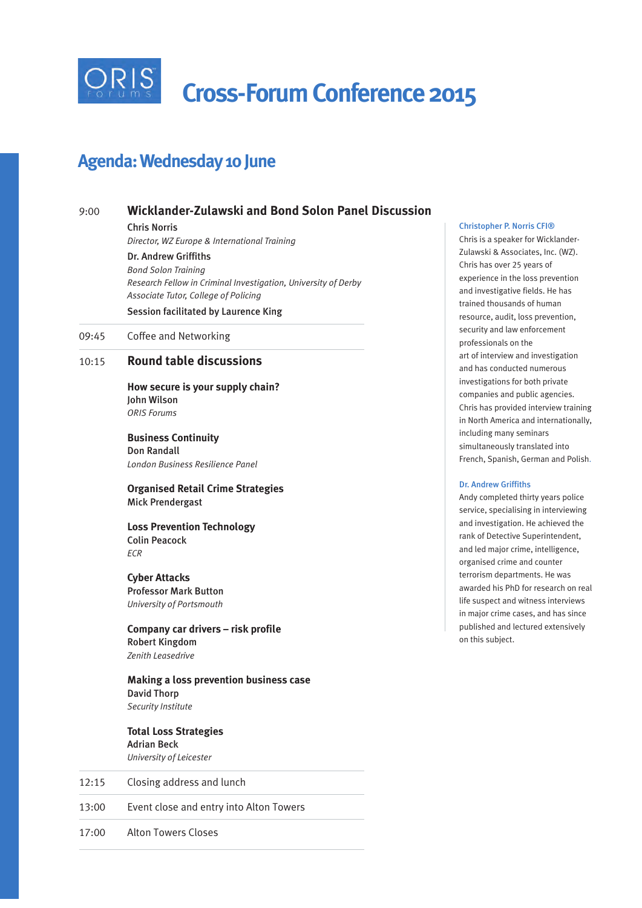

 **Cross-Forum Conference 2015**

### **Agenda: Wednesday 10 June**

#### 9:00 **Wicklander-Zulawski and Bond Solon Panel Discussion**

Chris Norris

*Director, WZ Europe & International Training*

Dr. Andrew Griffiths *Bond Solon Training Research Fellow in Criminal Investigation, University of Derby Associate Tutor, College of Policing* Session facilitated by Laurence King

09:45 Coffee and Networking

#### 10:15 **Round table discussions**

**How secure is your supply chain?** John Wilson *ORIS Forums*

**Business Continuity** Don Randall *London Business Resilience Panel*

**Organised Retail Crime Strategies** Mick Prendergast

**Loss Prevention Technology** Colin Peacock *ECR*

**Cyber Attacks** Professor Mark Button *University of Portsmouth*

**Company car drivers – risk profile** Robert Kingdom *Zenith Leasedrive*

**Making a loss prevention business case** David Thorp *Security Institute*

**Total Loss Strategies**  Adrian Beck *University of Leicester*

12:15 Closing address and lunch 13:00 Event close and entry into Alton Towers

17:00 Alton Towers Closes

#### Christopher P. Norris CFI®

Chris is a speaker for Wicklander-Zulawski & Associates, Inc. (WZ). Chris has over 25 years of experience in the loss prevention and investigative fields. He has trained thousands of human resource, audit, loss prevention, security and law enforcement professionals on the art of interview and investigation and has conducted numerous investigations for both private companies and public agencies. Chris has provided interview training in North America and internationally, including many seminars simultaneously translated into French, Spanish, German and Polish.

#### Dr. Andrew Griffiths

Andy completed thirty years police service, specialising in interviewing and investigation. He achieved the rank of Detective Superintendent, and led major crime, intelligence, organised crime and counter terrorism departments. He was awarded his PhD for research on real life suspect and witness interviews in major crime cases, and has since published and lectured extensively on this subject.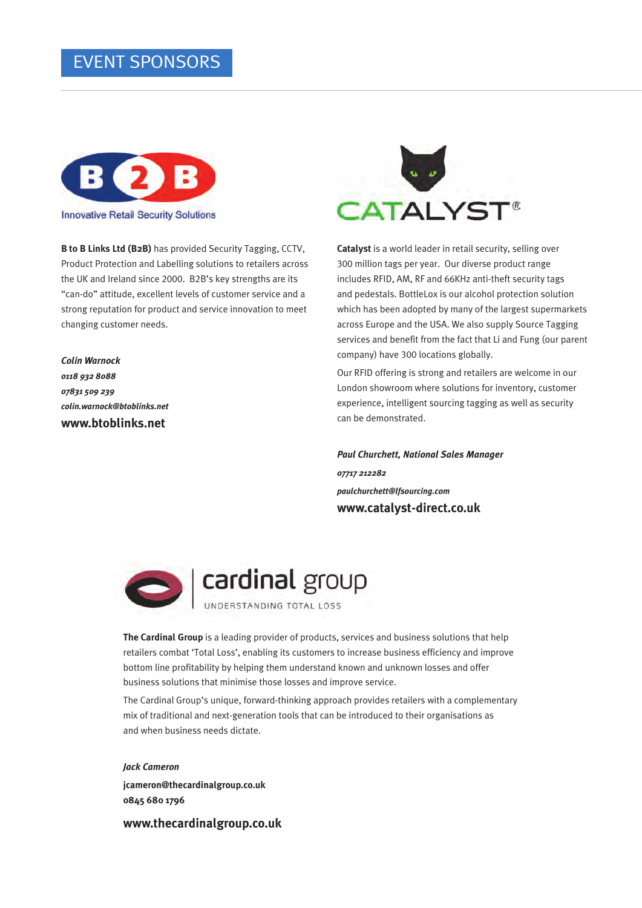#### EVENT SPONSORS



**B to B Links Ltd (B2B)** has provided Security Tagging, CCTV, Product Protection and Labelling solutions to retailers across the UK and Ireland since 2000. B2B's key strengths are its "can-do" attitude, excellent levels of customer service and a strong reputation for product and service innovation to meet changing customer needs.

*Colin Warnock 0118 932 8088 07831 509 239 colin.warnock@btoblinks.net* **www.btoblinks.net** 



**Catalyst** is a world leader in retail security, selling over 300 million tags per year. Our diverse product range includes RFID, AM, RF and 66KHz anti-theft security tags and pedestals. BottleLox is our alcohol protection solution which has been adopted by many of the largest supermarkets across Europe and the USA. We also supply Source Tagging services and benefit from the fact that Li and Fung (our parent company) have 300 locations globally.

Our RFID offering is strong and retailers are welcome in our London showroom where solutions for inventory, customer experience, intelligent sourcing tagging as well as security can be demonstrated.

*Paul Churchett, National Sales Manager 07717 212282 paulchurchett@lfsourcing.com* **www.catalyst-direct.co.uk**





**The Cardinal Group** is a leading provider of products, services and business solutions that help

retailers combat 'Total Loss', enabling its customers to increase business efficiency and improve bottom line profitability by helping them understand known and unknown losses and offer business solutions that minimise those losses and improve service.

The Cardinal Group's unique, forward-thinking approach provides retailers with a complementary mix of traditional and next-generation tools that can be introduced to their organisations as and when business needs dictate.

*Jack Cameron* **jcameron@thecardinalgroup.co.uk 0845 680 1796**

**www.thecardinalgroup.co.uk**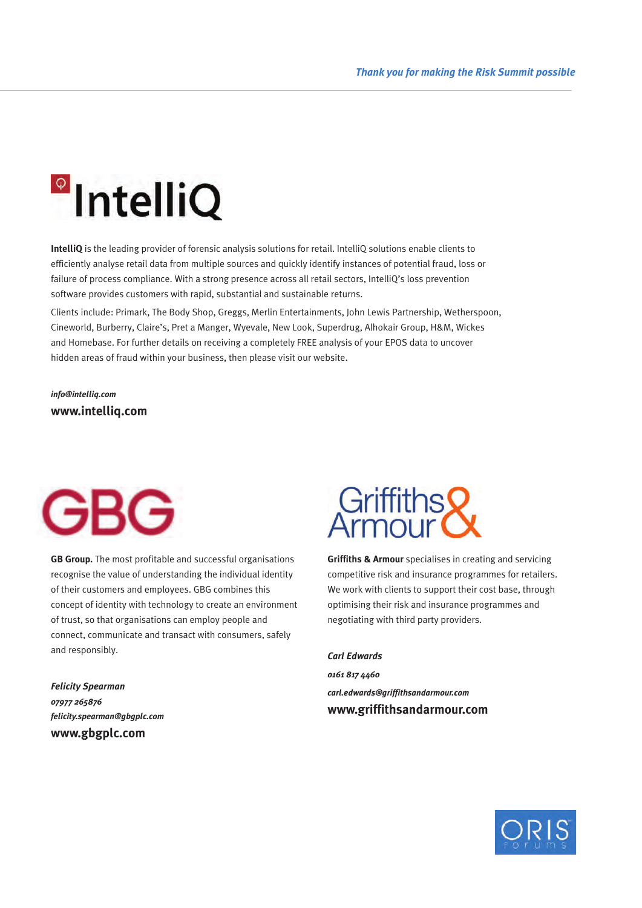## **a**IntelliQ

**IntelliQ** is the leading provider of forensic analysis solutions for retail. IntelliQ solutions enable clients to efficiently analyse retail data from multiple sources and quickly identify instances of potential fraud, loss or failure of process compliance. With a strong presence across all retail sectors, IntelliQ's loss prevention software provides customers with rapid, substantial and sustainable returns.

Clients include: Primark, The Body Shop, Greggs, Merlin Entertainments, John Lewis Partnership, Wetherspoon, Cineworld, Burberry, Claire's, Pret a Manger, Wyevale, New Look, Superdrug, Alhokair Group, H&M, Wickes and Homebase. For further details on receiving a completely FREE analysis of your EPOS data to uncover hidden areas of fraud within your business, then please visit our website.

*info@intelliq.com* **www.intelliq.com**



**GB Group.** The most profitable and successful organisations recognise the value of understanding the individual identity of their customers and employees. GBG combines this concept of identity with technology to create an environment of trust, so that organisations can employ people and connect, communicate and transact with consumers, safely and responsibly.

*Felicity Spearman 07977 265876 felicity.spearman@gbgplc.com* **www.gbgplc.com**



**Griffiths & Armour** specialises in creating and servicing competitive risk and insurance programmes for retailers. We work with clients to support their cost base, through optimising their risk and insurance programmes and negotiating with third party providers.

#### *Carl Edwards*

*0161 817 4460 carl.edwards@griffithsandarmour.com* **www.griffithsandarmour.com**

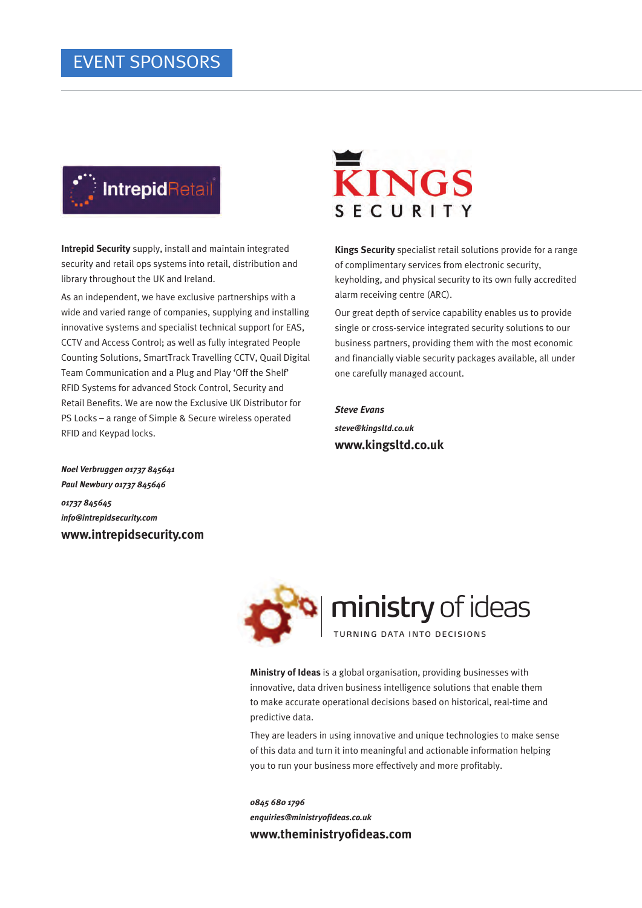

**Intrepid Security** supply, install and maintain integrated security and retail ops systems into retail, distribution and library throughout the UK and Ireland.

As an independent, we have exclusive partnerships with a wide and varied range of companies, supplying and installing innovative systems and specialist technical support for EAS, CCTV and Access Control; as well as fully integrated People Counting Solutions, SmartTrack Travelling CCTV, Quail Digital Team Communication and a Plug and Play 'Off the Shelf' RFID Systems for advanced Stock Control, Security and Retail Benefits. We are now the Exclusive UK Distributor for PS Locks – a range of Simple & Secure wireless operated RFID and Keypad locks.



**Kings Security** specialist retail solutions provide for a range of complimentary services from electronic security, keyholding, and physical security to its own fully accredited alarm receiving centre (ARC).

Our great depth of service capability enables us to provide single or cross-service integrated security solutions to our business partners, providing them with the most economic and financially viable security packages available, all under one carefully managed account.

*Steve Evans steve@kingsltd.co.uk* **www.kingsltd.co.uk**

*Noel Verbruggen 01737 845641 Paul Newbury 01737 845646 01737 845645 info@intrepidsecurity.com* **www.intrepidsecurity.com**



**Ministry of Ideas** is a global organisation, providing businesses with innovative, data driven business intelligence solutions that enable them to make accurate operational decisions based on historical, real-time and predictive data.

They are leaders in using innovative and unique technologies to make sense of this data and turn it into meaningful and actionable information helping you to run your business more effectively and more profitably.

*0845 680 1796 enquiries@ministryofideas.co.uk*  **www.theministryofideas.com**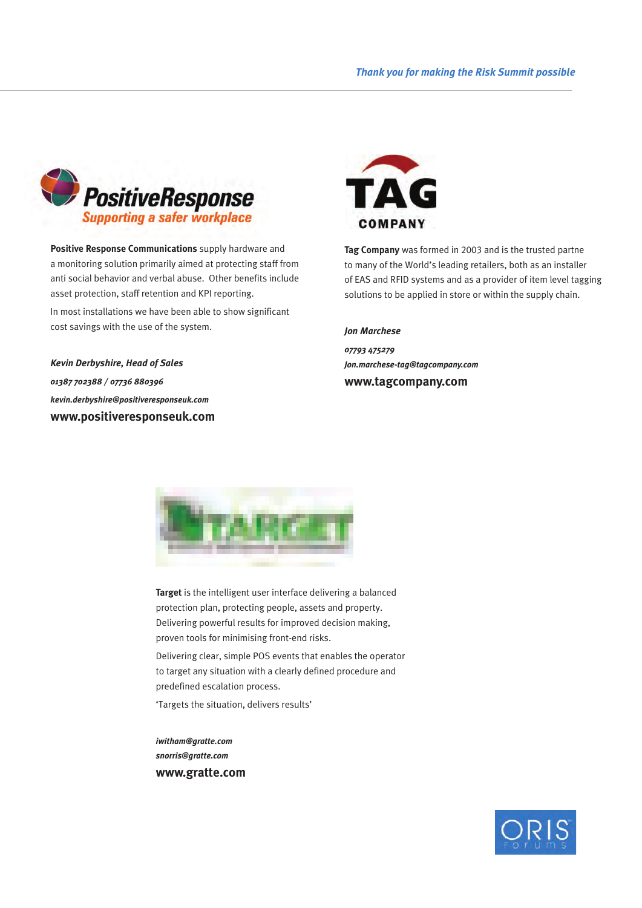

**Positive Response Communications** supply hardware and a monitoring solution primarily aimed at protecting staff from anti social behavior and verbal abuse. Other benefits include asset protection, staff retention and KPI reporting. In most installations we have been able to show significant cost savings with the use of the system.

*Kevin Derbyshire, Head of Sales 01387 702388 / 07736 880396 kevin.derbyshire@positiveresponseuk.com* **www.positiveresponseuk.com**



**Tag Company** was formed in 2003 and is the trusted partne to many of the World's leading retailers, both as an installer of EAS and RFID systems and as a provider of item level tagging solutions to be applied in store or within the supply chain.

#### *Jon Marchese*

*07793 475279 Jon.marchese-tag@tagcompany.com* **www.tagcompany.com**



**Target** is the intelligent user interface delivering a balanced protection plan, protecting people, assets and property. Delivering powerful results for improved decision making, proven tools for minimising front-end risks.

Delivering clear, simple POS events that enables the operator to target any situation with a clearly defined procedure and predefined escalation process.

'Targets the situation, delivers results'

*iwitham@gratte.com snorris@gratte.com* **www.gratte.com**

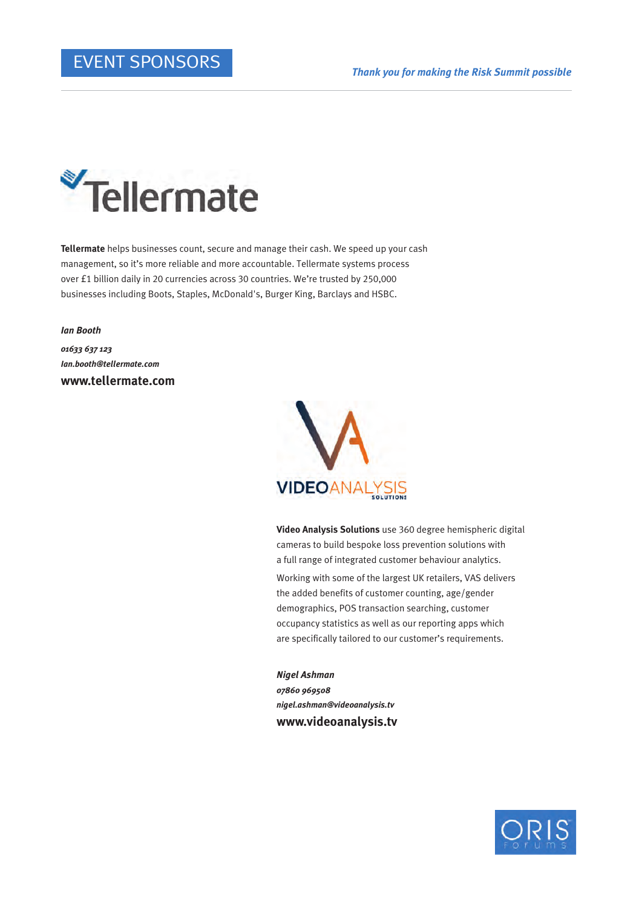

**Tellermate** helps businesses count, secure and manage their cash. We speed up your cash management, so it's more reliable and more accountable. Tellermate systems process over £1 billion daily in 20 currencies across 30 countries. We're trusted by 250,000 businesses including Boots, Staples, McDonald's, Burger King, Barclays and HSBC.

*Ian Booth 01633 637 123 Ian.booth@tellermate.com* **www.tellermate.com**



**Video Analysis Solutions** use 360 degree hemispheric digital cameras to build bespoke loss prevention solutions with a full range of integrated customer behaviour analytics. Working with some of the largest UK retailers, VAS delivers the added benefits of customer counting, age/gender demographics, POS transaction searching, customer occupancy statistics as well as our reporting apps which are specifically tailored to our customer's requirements.

*Nigel Ashman 07860 969508 nigel.ashman@videoanalysis.tv* **www.videoanalysis.tv** 

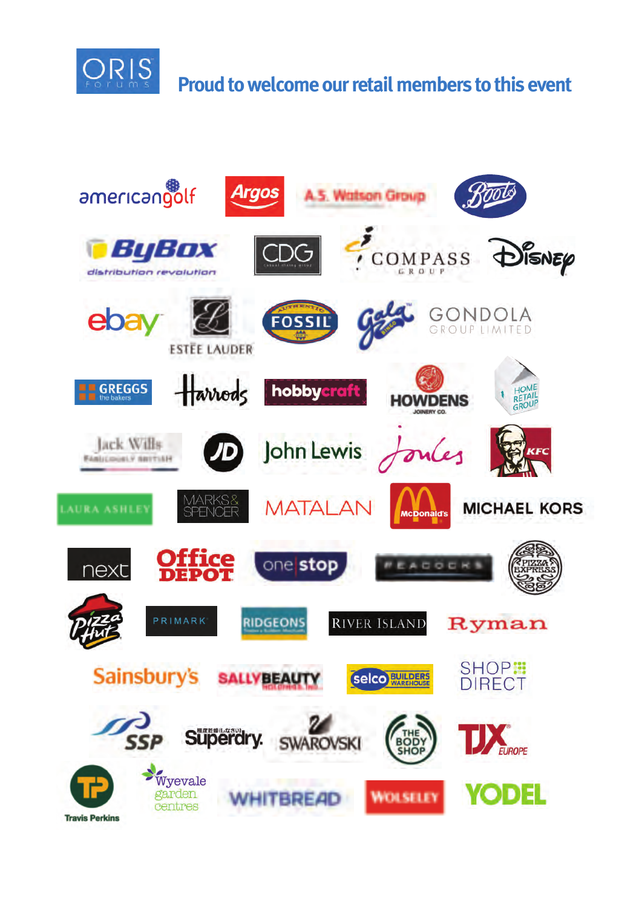

### **Proud to welcome our retail members to this event**